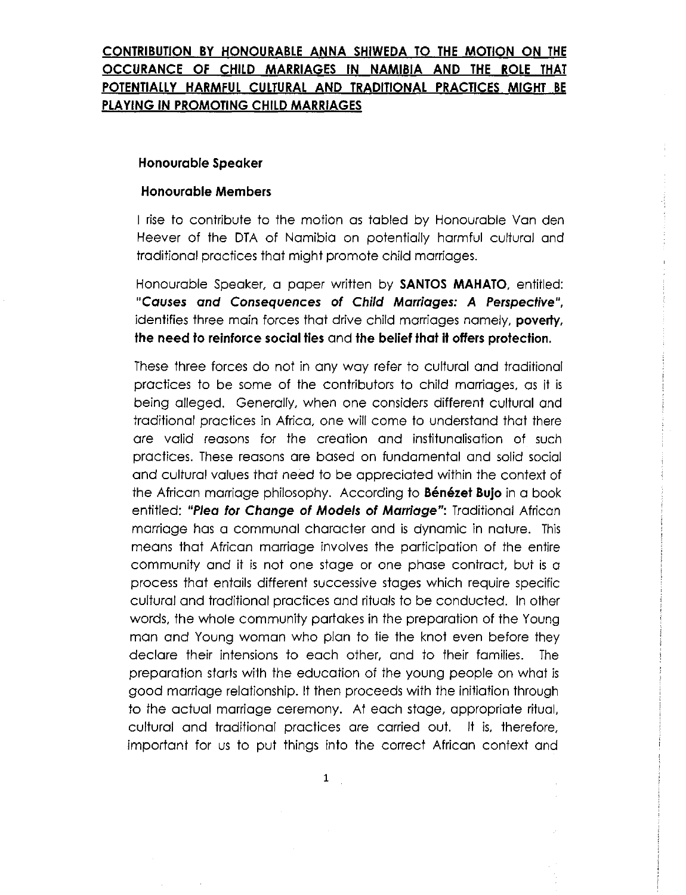# **CONTRIBUTION BY HONOURABLE ANNA SHIWEDA TO THE MOTION ON THE OCCURANCE OF CHILD MARRIAGES IN NAMIBIA AND THE ROLE THAT POTENTIALLY HARMFUL CULTURAL AND TRADITIONAL PRACTICES MIGHT BE PLAYING IN PROMOTING CHILD MARRIAGES**

## **Honourable Speaker**

### **Honourable Members**

I rise to contribute to the motion as tabled by Honourable Van den Heever of the DTA of Namibia on potentially harmful cultural and traditional practices that might promote child marriages.

Honourable Speaker, a paper written by **SANTOS MAHATO,** entitled: *"Causes and Consequences* **of** *Child Marriages: A Perspective",* identifies three main forces that drive child marriages namely, **poverty, the need to reinforce social ties** and **the belief that it offers protection.**

These three forces do not in any way refer to cultural and traditional practices to be some of the contributors to child marriages, as it is being alleged. Generally, when one considers different cultural and traditional practices in Africa, one will come to understand that there are valid reasons for the creation and institunalisation of such practices. These reasons are based on fundamental and solid social and cultural values that need to be appreciated within the context of the African marriage philosophy. According to **Benezet Bujo** in a book entitled: *"Plea for Change* **of** *Models* **of** *Marriage":* Traditional African marriage has a communal character and is dynamic in nature. This means that African marriage involves the participation of the entire community and it is not one stage or one phase contract, but is a process that entails different successive stages which require specific cultural and traditional practices and rituals to be conducted. In other words, the whole community partakes in the preparation of the Young man and Young woman who plan to tie the knot even before they declare their intensions to each other, and to their families. The preparation starts with the education of the young people on what is good marriage relationship. It then proceeds with the initiation through to the actual marriage ceremony. At each stage, appropriate ritual, cultural and traditional practices are carried out. It is, therefore, important for us to put things into the correct African context and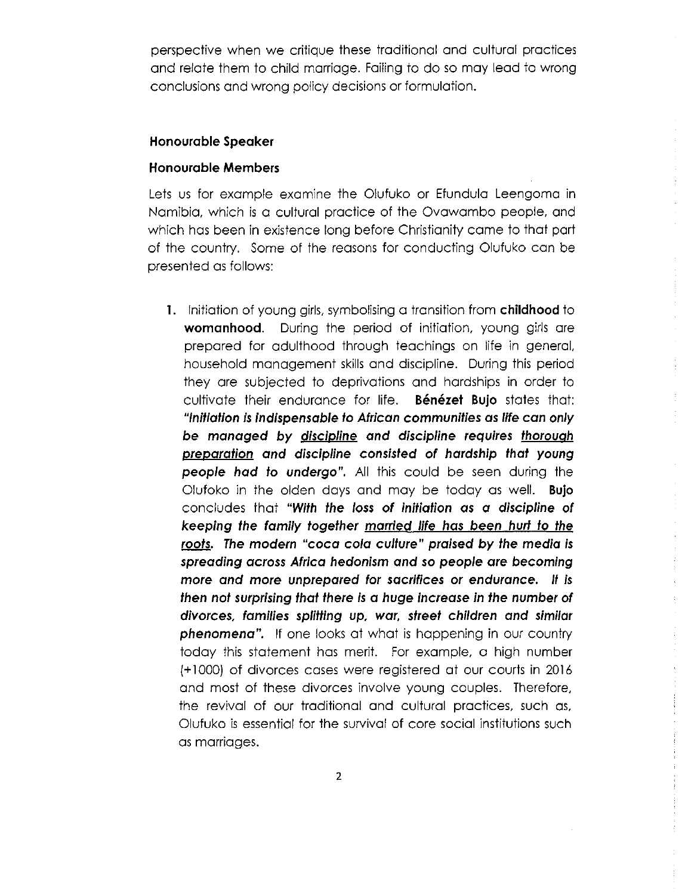perspective when we critique these traditional and cultural practices and relate them to child marriage. Failing to do so may lead to wrong conclusions and wrong policy decisions or formulation.

#### **Honourable Speaker**

### **Honourable Members**

Lets us for example examine the Olufuko or Efundula Leengoma in Namibia, which is a cultural practice of the Ovawambo people, and which has been in existence long before Christianity came to that part of the country. Some of the reasons for conducting Olufuko can be presented as follows:

**1.** Initiation of young girls, symbolising a transition from **childhood** to **womanhood.** During the period of initiation, young girls are prepared for adulthood through teachings on life in general, household management skills and discipline. During this period they are subjected to deprivations and hardships in order to cultivate their endurance for life. **Bénézet Bujo** states that: *"Initiation is indispensable* **to** *African communities* **as** *life can only* **be managed** *by discipline and discipline requires thorough preparation and discipline consisted* **of** *hardship that young people had* **to** *undergo",* All this could be seen during the Olufoko in the olden days and may be today as well. **Bujo** concludes that *"With the loss* **of** *initiation* **as a** *discipline* **of** *keeping the family together married life has been hurt* **to** *the roots. The modern* **"coca** *cola culture" praised by the media is spreading across Africa hedonism and* **so** *people are becoming more and more unprepared for sacrifices or endurance. It is then not surprising that there is* **a** *huge increase in the number* **of** *divorces, families splitting up, war, street children and similar phenomena".* If one looks at what is happening in our country today this statement has merit. For example, a high number (+ 1000) of divorces cases were registered at our courts in 2016 and most of these divorces involve young couples. Therefore, the revival of our traditional and cultural practices, such as, Olufuko is essential for the survival of core social institutions such as marriages.

2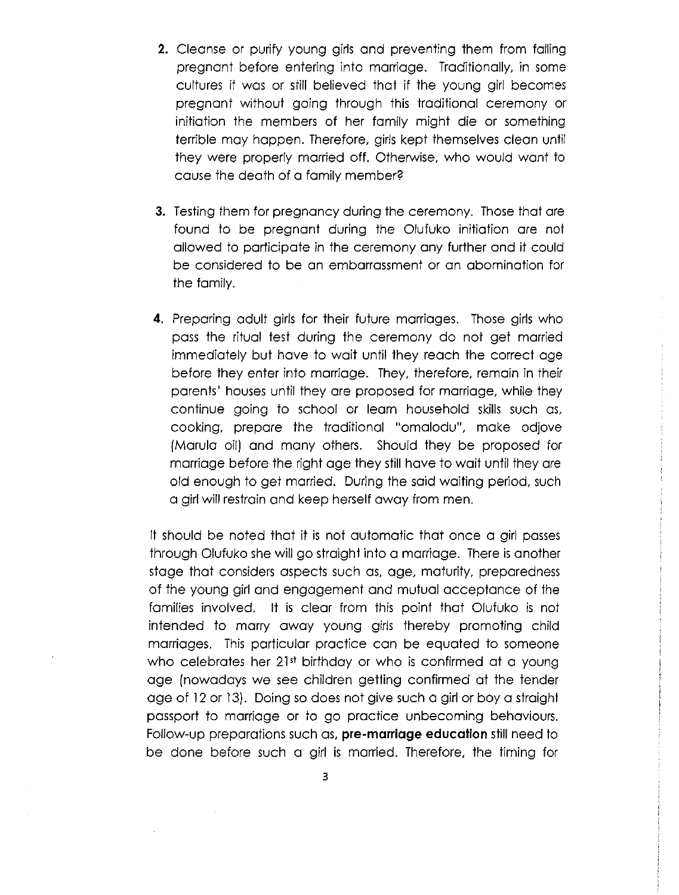- **2.** Cleanse or purify young girls and preventing them from falling pregnant before entering into marriage. Traditionally, in some cultures it was or still believed that if the young girl becomes pregnant without going through this traditional ceremony or initiation the members of her family might die or something terrible may happen. Therefore, girls kept themselves clean until they were properly married off. Otherwise, who would want to cause the death of a family member?
- **3.** Testing them for pregnancy during the ceremony. Those that are found to be pregnant during the Olufuko initiation are not allowed to participate in the ceremony any further and it could be considered to be an embarrassment or an abomination for the family.
- **4.** Preparing adult girls for their future marriages. Those girls who pass the ritual test during the ceremony do not get married immediately but have to wait until they reach the correct age before they enter into marriage. They, therefore, remain in their parents' houses until they are proposed for marriage, while they continue going to school or learn household skills such as, cooking, prepare the traditional "omalodu", make odjove (Marula oil) and many others. Should they be proposed for marriage before the right age they still have to wait until they are old enough to get married. During the said waiting period, such a girl will restrain and keep herself away from men.

It should be noted that it is not automatic that once a girl passes through Olufuko she will go straight into a marriage. There is another stage that considers aspects such as, age, maturity, preparedness of the young girl and engagement and mutual acceptance of the families involved. It is clear from this point that Olufuko is not intended to marry away young girls thereby promoting child marriages. This particular practice can be equated to someone who celebrates her 21st birthday or who is confirmed at a young age (nowadays we see children getting confirmed at the tender age of 12or 13). Doing so does not give such a girl or boy a straight passport to marriage or to go practice unbecoming behaviours. Follow-up preparations such as, **pre-marriage education** stillneed to be done before such a girl is married. Therefore, the timing for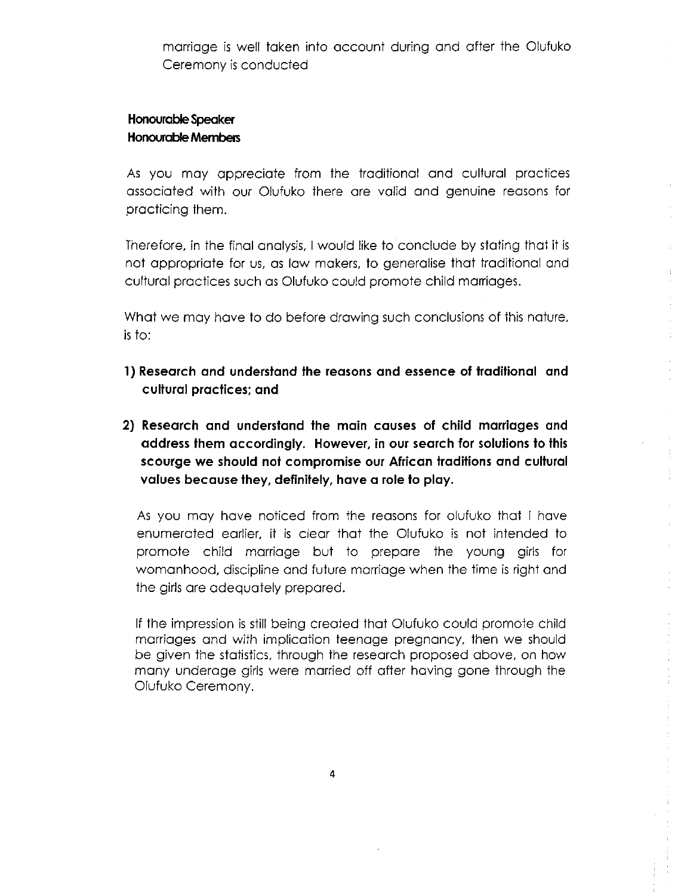marriage is well taken into account during and after the Olufuko Ceremony is conducted

## **Honourable Speaker HonourableMembers**

As you may appreciate from the traditional and cultural practices associated with our Olufuko there are valid and genuine reasons for practicing them.

Therefore, in the final analysis, I would like to conclude by stating that it is not appropriate for us, as law makers, to generalise that traditional and cultural practices such as Olufuko could promote child marriages.

What we may have to do before drawing such conclusions of this nature, is to:

- **1) Research and understand the reasons and essence of traditional and cultural practices; and**
- **2) Research and understand the main causes of child marriages and address them accordingly. However, in our search for solutions to this scourge we should not compromise our African traditions and cultural values because they, definitely, have a role to play.**

As you may have noticed from the reasons for olufuko that I have enumerated earlier, it is clear that the Olufuko is not intended to promote child marriage but to prepare the young girls for womanhood, discipline and future marriage when the time is right and the girls are adequately prepared.

If the impression is still being created that Olufuko could promote child marriages and with implication teenage pregnancy, then we should be given the statistics, through the research proposed above, on how many underage girls were married off after having gone through the Olufuko Ceremony.